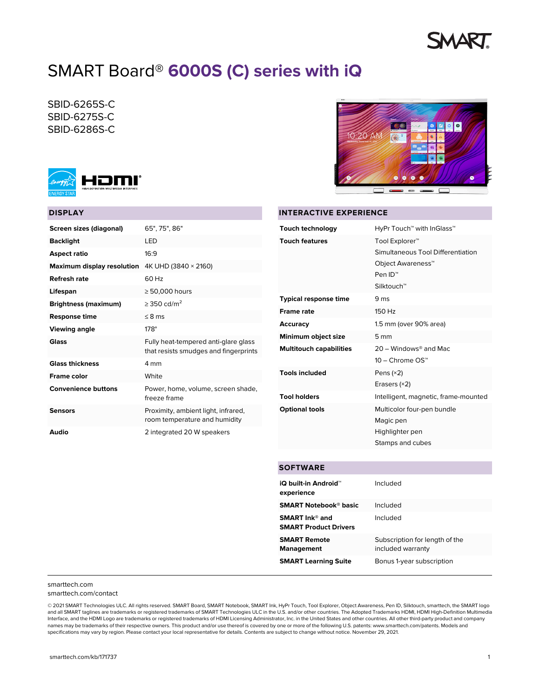# **MART**

# SMART Board® **6000S (C) series with iQ**

SBID-6265S-C SBID-6275S-C SBID-6286S-C



# **DISPLAY**

| Screen sizes (diagonal)     | 65", 75", 86"                                                                 |
|-----------------------------|-------------------------------------------------------------------------------|
| <b>Backlight</b>            | LED                                                                           |
| <b>Aspect ratio</b>         | 16.9                                                                          |
| Maximum display resolution  | 4K UHD (3840 × 2160)                                                          |
| Refresh rate                | 60 Hz                                                                         |
| Lifespan                    | $\geq 50,000$ hours                                                           |
| <b>Brightness (maximum)</b> | $> 350$ cd/m <sup>2</sup>                                                     |
| <b>Response time</b>        | $\leq$ 8 ms                                                                   |
| <b>Viewing angle</b>        | $178^\circ$                                                                   |
| Glass                       | Fully heat-tempered anti-glare glass<br>that resists smudges and fingerprints |
| <b>Glass thickness</b>      | 4 mm                                                                          |
| <b>Frame color</b>          | White                                                                         |
| <b>Convenience buttons</b>  | Power, home, volume, screen shade,<br>freeze frame                            |
| Sensors                     | Proximity, ambient light, infrared,<br>room temperature and humidity          |
| Audio                       | 2 integrated 20 W speakers                                                    |



# **INTERACTIVE EXPERIENCE**

| <b>Touch technology</b>        | HyPr Touch™ with InGlass™                                                                                                                         |
|--------------------------------|---------------------------------------------------------------------------------------------------------------------------------------------------|
| <b>Touch features</b>          | Tool Explorer <sup>™</sup><br>Simultaneous Tool Differentiation<br>Object Awareness <sup>™</sup><br>Pen ID <sup>™</sup><br>Silktouch <sup>™</sup> |
| <b>Typical response time</b>   | 9 ms                                                                                                                                              |
| <b>Frame rate</b>              | 150 Hz                                                                                                                                            |
| Accuracy                       | 1.5 mm (over 90% area)                                                                                                                            |
| Minimum object size            | 5 <sub>mm</sub>                                                                                                                                   |
| <b>Multitouch capabilities</b> | $20 -$ Windows <sup>®</sup> and Mac<br>10 – Chrome OS™                                                                                            |
| <b>Tools included</b>          | Pens $(x2)$<br>Erasers $(x2)$                                                                                                                     |
| <b>Tool holders</b>            | Intelligent, magnetic, frame-mounted                                                                                                              |
| <b>Optional tools</b>          | Multicolor four-pen bundle<br>Magic pen<br>Highlighter pen<br>Stamps and cubes                                                                    |

# **SOFTWARE**

| iQ built-in Android™<br>experience                    | Included                                            |
|-------------------------------------------------------|-----------------------------------------------------|
| <b>SMART Notebook® basic</b>                          | Included                                            |
| <b>SMART</b> Ink® and<br><b>SMART Product Drivers</b> | Included                                            |
| <b>SMART Remote</b><br><b>Management</b>              | Subscription for length of the<br>included warranty |
| <b>SMART Learning Suite</b>                           | Bonus 1-year subscription                           |

### [smarttech.com](https://www.smarttech.com/) [smarttech.com/contact](https://www.smarttech.com/contact)

© 2021 SMART Technologies ULC. All rights reserved. SMART Board, SMART Notebook, SMART Ink, HyPr Touch, Tool Explorer, Object Awareness, Pen ID, Silktouch, smarttech, the SMART logo and all SMART taglines are trademarks or registered trademarks of SMART Technologies ULC in the U.S. and/or other countries. The Adopted Trademarks HDMI, HDMI High-Definition Multimedia Interface, and the HDMI Logo are trademarks or registered trademarks of HDMI Licensing Administrator, Inc. in the United States and other countries. All other third-party product and company names may be trademarks of their respective owners. This product and/or use thereof is covered by one or more of the following U.S. patents: [www.smarttech.com/patents.](http://www.smarttech.com/patents) Models and specifications may vary by region. Please contact your local representative for details. Contents are subject to change without notice. November 29, 2021.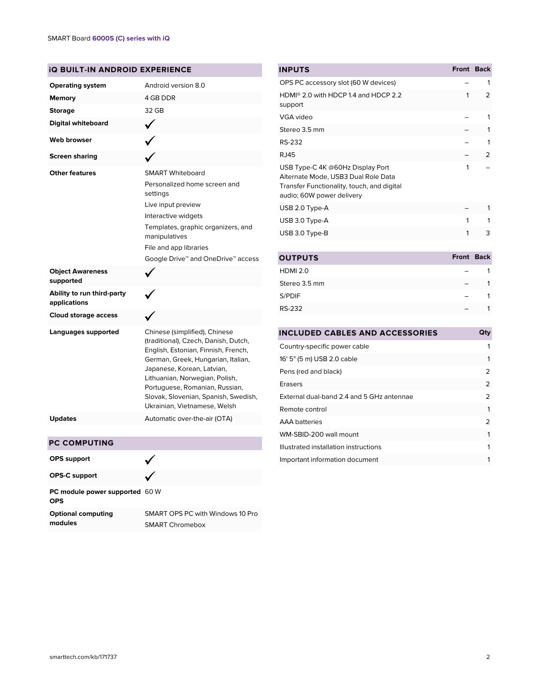| <b>IQ BUILT-IN ANDROID EXPERIENCE</b>                                                       |                                                                                                                                                                                                                                                                                                                              |  |
|---------------------------------------------------------------------------------------------|------------------------------------------------------------------------------------------------------------------------------------------------------------------------------------------------------------------------------------------------------------------------------------------------------------------------------|--|
| <b>Operating system</b>                                                                     | Android version 8.0                                                                                                                                                                                                                                                                                                          |  |
| Memory                                                                                      | 4 GB DDR                                                                                                                                                                                                                                                                                                                     |  |
| <b>Storage</b>                                                                              | 32 GB                                                                                                                                                                                                                                                                                                                        |  |
| <b>Digital whiteboard</b>                                                                   |                                                                                                                                                                                                                                                                                                                              |  |
| <b>Web browser</b>                                                                          |                                                                                                                                                                                                                                                                                                                              |  |
| <b>Screen sharing</b>                                                                       |                                                                                                                                                                                                                                                                                                                              |  |
| <b>Other features</b><br><b>Object Awareness</b><br>supported<br>Ability to run third-party | <b>SMART Whiteboard</b><br>Personalized home screen and<br>settings<br>Live input preview<br>Interactive widgets<br>Templates, graphic organizers, and<br>manipulatives<br>File and app libraries<br>Google Drive <sup>™</sup> and OneDrive™ access                                                                          |  |
| applications                                                                                |                                                                                                                                                                                                                                                                                                                              |  |
| <b>Cloud storage access</b>                                                                 |                                                                                                                                                                                                                                                                                                                              |  |
| Languages supported                                                                         | Chinese (simplified), Chinese<br>(traditional), Czech, Danish, Dutch,<br>English, Estonian, Finnish, French,<br>German, Greek, Hungarian, Italian,<br>Japanese, Korean, Latvian,<br>Lithuanian, Norwegian, Polish,<br>Portuguese, Romanian, Russian,<br>Slovak, Slovenian, Spanish, Swedish,<br>Ukrainian, Vietnamese, Welsh |  |
| <b>Updates</b>                                                                              | Automatic over-the-air (OTA)                                                                                                                                                                                                                                                                                                 |  |

| <b>INPUTS</b>                                                                                                                                      | Front Back |   |
|----------------------------------------------------------------------------------------------------------------------------------------------------|------------|---|
| OPS PC accessory slot (60 W devices)                                                                                                               |            | 1 |
| HDMI <sup>®</sup> 2.0 with HDCP 1.4 and HDCP 2.2<br>support                                                                                        | 1          | 2 |
| VGA video                                                                                                                                          |            | 1 |
| Stereo 3.5 mm                                                                                                                                      |            | 1 |
| RS-232                                                                                                                                             |            | 1 |
| <b>RJ45</b>                                                                                                                                        |            | 2 |
| USB Type-C 4K @60Hz Display Port<br>Alternate Mode, USB3 Dual Role Data<br>Transfer Functionality, touch, and digital<br>audio; 60W power delivery | 1          |   |
| USB 2.0 Type-A                                                                                                                                     |            | 1 |
| USB 3.0 Type-A                                                                                                                                     | 1          | 1 |
| USB 3.0 Type-B                                                                                                                                     | 1          | 3 |
|                                                                                                                                                    |            |   |
|                                                                                                                                                    |            |   |

| <b>OUTPUTS</b>  | <b>Front Back</b> |  |
|-----------------|-------------------|--|
| <b>HDMI 2.0</b> |                   |  |
| Stereo 3.5 mm   |                   |  |
| S/PDIF          |                   |  |
| <b>RS-232</b>   |                   |  |

| <b>INCLUDED CABLES AND ACCESSORIES</b>    | Qty           |
|-------------------------------------------|---------------|
| Country-specific power cable              | 1             |
| 16' 5" (5 m) USB 2.0 cable                | 1             |
| Pens (red and black)                      | 2             |
| Erasers                                   | 2             |
| External dual-band 2.4 and 5 GHz antennae | 2             |
| Remote control                            | 1             |
| <b>AAA</b> batteries                      | $\mathcal{P}$ |
| WM-SBID-200 wall mount                    | 1             |
| Illustrated installation instructions     | 1             |
| Important information document            | 1             |
|                                           |               |

| <b>OPS</b> support                           |                                                            |
|----------------------------------------------|------------------------------------------------------------|
| <b>OPS-C support</b>                         |                                                            |
| PC module power supported 60 W<br><b>OPS</b> |                                                            |
| <b>Optional computing</b><br>modules         | SMART OPS PC with Windows 10 Pro<br><b>SMART Chromebox</b> |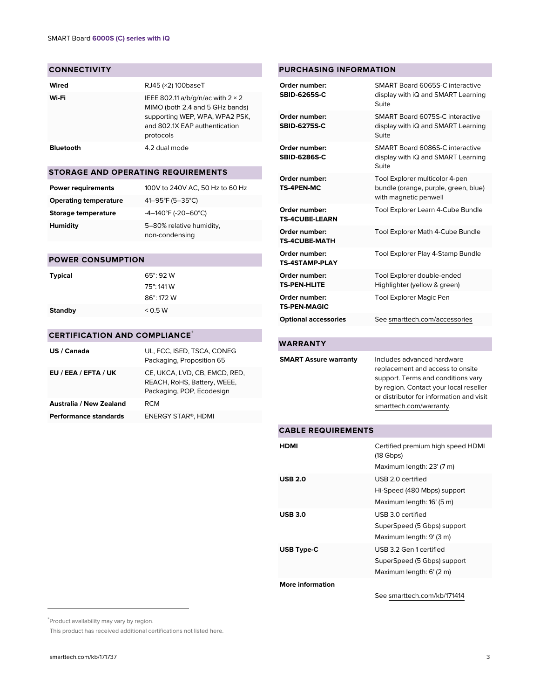# **CONNECTIVITY**

| Wired            | RJ45 (×2) 100baseT                                                                                                                                          |
|------------------|-------------------------------------------------------------------------------------------------------------------------------------------------------------|
| Wi-Fi            | IEEE 802.11 a/b/g/n/ac with $2 \times 2$<br>MIMO (both 2.4 and 5 GHz bands)<br>supporting WEP, WPA, WPA2 PSK,<br>and 802.1X EAP authentication<br>protocols |
| <b>Bluetooth</b> | 4.2 dual mode                                                                                                                                               |

# **STORAGE AND OPERATING REQUIREMENTS**

| <b>Power requirements</b>    | 100V to 240V AC, 50 Hz to 60 Hz            |
|------------------------------|--------------------------------------------|
| <b>Operating temperature</b> | 41-95°F (5-35°C)                           |
| Storage temperature          | $-4-140^{\circ}F (-20-60^{\circ}C)$        |
| Humidity                     | 5-80% relative humidity,<br>non-condensing |

# **POWER CONSUMPTION**

| <b>Typical</b> | 65"92W     |
|----------------|------------|
|                | 75": 141 W |
|                | 86" 172 W  |
| <b>Standby</b> | < 0.5 W    |

# **CERTIFICATION AND COMPLIANCE**\*

| US / Canada                    | UL, FCC, ISED, TSCA, CONEG<br>Packaging, Proposition 65                                   |
|--------------------------------|-------------------------------------------------------------------------------------------|
| EU / EEA / EFTA / UK           | CE, UKCA, LVD, CB, EMCD, RED,<br>REACH, RoHS, Battery, WEEE,<br>Packaging, POP, Ecodesign |
| <b>Australia / New Zealand</b> | RCM                                                                                       |
| <b>Performance standards</b>   | <b>ENERGY STAR®, HDMI</b>                                                                 |

#### **SBID-6275S-C** display with iQ and SMART Learning Suite **Order number: SBID-6286S-C** SMART Board 6086S-C interactive display with iQ and SMART Learning Suite **Order number: TS-4PEN-MC** Tool Explorer multicolor 4-pen bundle (orange, purple, green, blue) with magnetic penwell **Order number: TS-4CUBE-LEARN** Tool Explorer Learn 4-Cube Bundle **Order number: TS-4CUBE-MATH** Tool Explorer Math 4-Cube Bundle **Order number: TS-4STAMP-PLAY** Tool Explorer Play 4-Stamp Bundle **Order number: TS-PEN-HLITE** Tool Explorer double-ended Highlighter (yellow & green) **Order number: TS-PEN-MAGIC** Tool Explorer Magic Pen **Optional accessories** See [smarttech.com/accessories](https://www.smarttech.com/accessories)

**Order number: SBID-6265S-C**

**Order number:**

**PURCHASING INFORMATION**

SMART Board 6065S-C interactive display with iQ and SMART Learning

SMART Board 6075S-C interactive

Suite

# **WARRANTY**

| <b>SMART Assure warranty</b> | Includes advanced hardware               |
|------------------------------|------------------------------------------|
|                              | replacement and access to onsite         |
|                              | support. Terms and conditions vary       |
|                              | by region. Contact your local reseller   |
|                              | or distributor for information and visit |
|                              | smarttech.com/warranty.                  |
|                              |                                          |

### **CABLE REQUIREMENTS**

| HDMI                    | Certified premium high speed HDMI<br>$(18 \text{ Gbps})$<br>Maximum length: 23' (7 m) |
|-------------------------|---------------------------------------------------------------------------------------|
| <b>USB 2.0</b>          | USB 2.0 certified<br>Hi-Speed (480 Mbps) support<br>Maximum length: 16' (5 m)         |
| <b>USB 3.0</b>          | USB 3.0 certified<br>SuperSpeed (5 Gbps) support<br>Maximum length: 9' (3 m)          |
| <b>USB Type-C</b>       | USB 3.2 Gen 1 certified<br>SuperSpeed (5 Gbps) support<br>Maximum length: 6' (2 m)    |
| <b>More information</b> |                                                                                       |

### See [smarttech.com/kb/171414](https://www.smarttech.com/kb/171414)

This product has received additional certifications not listed here.

<sup>\*</sup>Product availability may vary by region.